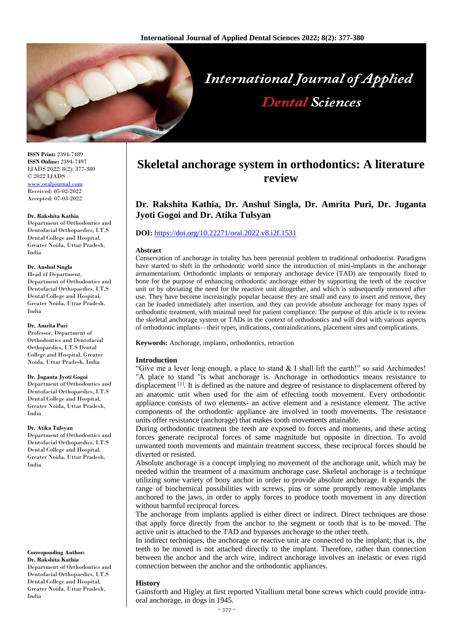

**ISSN Print:** 2394-7489 **ISSN Online:** 2394-7497 IJADS 2022; 8(2): 377-380 © 2022 IJADS [www.oraljournal.com](http://www.oraljournal.com/) Received: 05-02-2022 Accepted: 07-03-2022

#### **Dr. Rakshita Kathia**

Department of Orthodontics and Dentofacial Orthopaedics, I.T.S Dental College and Hospital, Greater Noida, Uttar Pradesh, India

## **Dr. Anshul Singla**

Head of Department, Department of Orthodontics and Dentofacial Orthopaedics, I.T.S Dental College and Hospital, Greater Noida, Uttar Pradesh, India

#### **Dr. Amrita Puri**

Professor, Department of Orthodontics and Dentofacial Orthopaedics, I.T.S Dental College and Hospital, Greater Noida, Uttar Pradesh, India

#### **Dr. Juganta Jyoti Gogoi**

Department of Orthodontics and Dentofacial Orthopaedics, I.T.S Dental College and Hospital, Greater Noida, Uttar Pradesh, India

#### **Dr. Atika Tulsyan**

Department of Orthodontics and Dentofacial Orthopaedics, I.T.S Dental College and Hospital, Greater Noida, Uttar Pradesh, India

# **Corresponding Author:**

**Dr. Rakshita Kathia** Department of Orthodontics and Dentofacial Orthopaedics, I.T.S Dental College and Hospital, Greater Noida, Uttar Pradesh, India

# **Skeletal anchorage system in orthodontics: A literature review**

# **Dr. Rakshita Kathia, Dr. Anshul Singla, Dr. Amrita Puri, Dr. Juganta Jyoti Gogoi and Dr. Atika Tulsyan**

## **DOI:** <https://doi.org/10.22271/oral.2022.v8.i2f.1531>

#### **Abstract**

Conservation of anchorage in totality has been perennial problem to traditional orthodontist. Paradigms have started to shift in the orthodontic world since the introduction of mini-implants in the anchorage armamentarium. Orthodontic implants or temporary anchorage device (TAD) are temporarily fixed to bone for the purpose of enhancing orthodontic anchorage either by supporting the teeth of the reactive unit or by obviating the need for the reactive unit altogether, and which is subsequently removed after use. They have become increasingly popular because they are small and easy to insert and remove, they can be loaded immediately after insertion, and they can provide absolute anchorage for many types of orthodontic treatment, with minimal need for patient compliance. The purpose of this article is to review the skeletal anchorage system or TADs in the context of orthodontics and will deal with various aspects of orthodontic implants—their types, indications, contraindications, placement sites and complications.

**Keywords:** Anchorage, implants, orthodontics, retraction

#### **Introduction**

"Give me a lever long enough, a place to stand  $&$  I shall lift the earth!" so said Archimedes! "A place to stand "is what anchorage is. Anchorage in orthodontics means resistance to displacement <sup>[1]</sup>. It is defined as the nature and degree of resistance to displacement offered by an anatomic unit when used for the aim of effecting tooth movement. Every orthodontic appliance consists of two elements- an active element and a resistance element. The active components of the orthodontic appliance are involved in tooth movements. The resistance units offer resistance (anchorage) that makes tooth movements attainable.

During orthodontic treatment the teeth are exposed to forces and moments, and these acting forces generate reciprocal forces of same magnitude but opposite in direction. To avoid unwanted tooth movements and maintain treatment success, these reciprocal forces should be diverted or resisted.

Absolute anchorage is a concept implying no movement of the anchorage unit, which may be needed within the treatment of a maximum anchorage case. Skeletal anchorage is a technique utilizing some variety of bony anchor in order to provide absolute anchorage. It expands the range of biochemical possibilities with screws, pins or some promptly removable implants anchored to the jaws, in order to apply forces to produce tooth movement in any direction without harmful reciprocal forces.

The anchorage from implants applied is either direct or indirect. Direct techniques are those that apply force directly from the anchor to the segment or tooth that is to be moved. The active unit is attached to the TAD and bypasses anchorage to the other teeth.

In indirect techniques, the anchorage or reactive unit are connected to the implant; that is, the teeth to be moved is not attached directly to the implant. Therefore, rather than connection between the anchor and the arch wire, indirect anchorage involves an inelastic or even rigid connection between the anchor and the orthodontic appliances.

#### **History**

Gainsforth and Higley at first reported Vitallium metal bone screws which could provide intraoral anchorage, in dogs in 1945.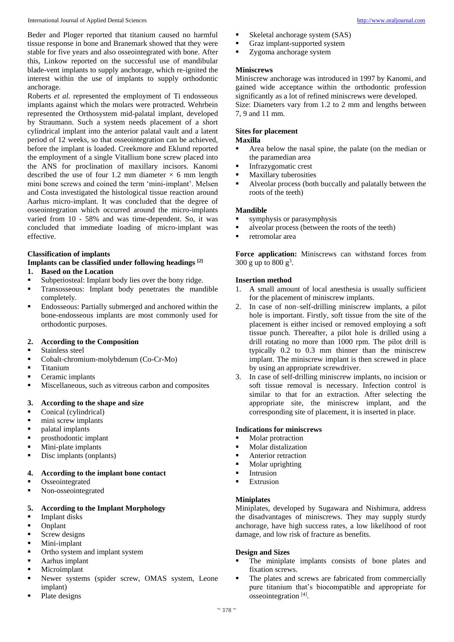International Journal of Applied Dental Sciences [http://www.oraljournal.com](http://www.oraljournal.com/)

Beder and Ploger reported that titanium caused no harmful tissue response in bone and Branemark showed that they were stable for five years and also osseointegrated with bone. After this, Linkow reported on the successful use of mandibular blade-vent implants to supply anchorage, which re-ignited the interest within the use of implants to supply orthodontic anchorage.

Roberts *et al*. represented the employment of Ti endosseous implants against which the molars were protracted. Wehrbein represented the Orthosystem mid-palatal implant, developed by Straumann. Such a system needs placement of a short cylindrical implant into the anterior palatal vault and a latent period of 12 weeks, so that osseointegration can be achieved, before the implant is loaded. Creekmore and Eklund reported the employment of a single Vitallium bone screw placed into the ANS for proclination of maxillary incisors. Kanomi described the use of four 1.2 mm diameter  $\times$  6 mm length mini bone screws and coined the term 'mini-implant'. Melsen and Costa investigated the histological tissue reaction around Aarhus micro-implant. It was concluded that the degree of osseointegration which occurred around the micro-implants varied from 10 - 58% and was time-dependent. So, it was concluded that immediate loading of micro-implant was effective.

# **Classification of implants**

# **Implants can be classified under following headings [2]**

- **1. Based on the Location**
- Subperiosteal: Implant body lies over the bony ridge.
- **Transosseous:** Implant body penetrates the mandible completely.
- Endosseous: Partially submerged and anchored within the bone-endosseous implants are most commonly used for orthodontic purposes.

## **2. According to the Composition**

- **Stainless steel**
- Cobalt-chromium-molybdenum (Co-Cr-Mo)
- **Titanium**
- Ceramic implants
- Miscellaneous, such as vitreous carbon and composites

## **3. According to the shape and size**

- Conical (cylindrical)
- mini screw implants
- palatal implants
- prosthodontic implant
- Mini-plate implants
- Disc implants (onplants)

## **4. According to the implant bone contact**

- **Osseointegrated**
- Non-osseointegrated

## **5. According to the Implant Morphology**

- Implant disks
- Onplant
- Screw designs
- Mini-implant
- Ortho system and implant system
- Aarhus implant
- Microimplant
- Newer systems (spider screw, OMAS system, Leone implant)
- Plate designs
- Skeletal anchorage system (SAS)
- Graz implant-supported system
- **EXP** Zygoma anchorage system

## **Miniscrews**

Miniscrew anchorage was introduced in 1997 by Kanomi, and gained wide acceptance within the orthodontic profession significantly as a lot of refined miniscrews were developed.

Size: Diameters vary from 1.2 to 2 mm and lengths between 7, 9 and 11 mm.

## **Sites for placement**

# **Maxilla**

- Area below the nasal spine, the palate (on the median or the paramedian area
- **Infrazygomatic crest**
- **Maxillary tuberosities**
- Alveolar process (both buccally and palatally between the roots of the teeth)

## **Mandible**

- symphysis or parasymphysis
- alveolar process (between the roots of the teeth)
- retromolar area

**Force application:** Miniscrews can withstand forces from 300 g up to 800  $g^3$ .

## **Insertion method**

- 1. A small amount of local anesthesia is usually sufficient for the placement of miniscrew implants.
- 2. In case of non–self-drilling miniscrew implants, a pilot hole is important. Firstly, soft tissue from the site of the placement is either incised or removed employing a soft tissue punch. Thereafter, a pilot hole is drilled using a drill rotating no more than 1000 rpm. The pilot drill is typically 0.2 to 0.3 mm thinner than the miniscrew implant. The miniscrew implant is then screwed in place by using an appropriate screwdriver.
- 3. In case of self-drilling miniscrew implants, no incision or soft tissue removal is necessary. Infection control is similar to that for an extraction. After selecting the appropriate site, the miniscrew implant, and the corresponding site of placement, it is inserted in place.

## **Indications for miniscrews**

- Molar protraction
- Molar distalization
- **Anterior retraction**
- Molar uprighting
- Intrusion
- **Extrusion**

## **Miniplates**

Miniplates, developed by Sugawara and Nishimura, address the disadvantages of miniscrews. They may supply sturdy anchorage, have high success rates, a low likelihood of root damage, and low risk of fracture as benefits.

## **Design and Sizes**

- The miniplate implants consists of bone plates and fixation screws.
- The plates and screws are fabricated from commercially pure titanium that's biocompatible and appropriate for osseointegration [4] .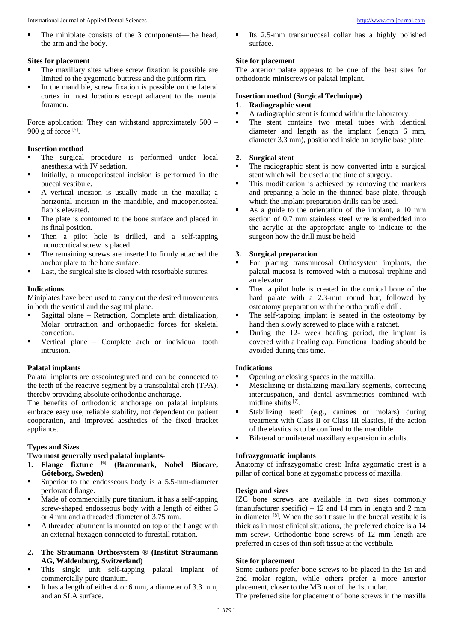The miniplate consists of the 3 components—the head, the arm and the body.

## **Sites for placement**

- The maxillary sites where screw fixation is possible are limited to the zygomatic buttress and the piriform rim.
- In the mandible, screw fixation is possible on the lateral cortex in most locations except adjacent to the mental foramen.

Force application: They can withstand approximately 500 –  $900$  g of force  $^{[5]}$ .

## **Insertion method**

- The surgical procedure is performed under local anesthesia with IV sedation.
- Initially, a mucoperiosteal incision is performed in the buccal vestibule.
- A vertical incision is usually made in the maxilla; a horizontal incision in the mandible, and mucoperiosteal flap is elevated.
- The plate is contoured to the bone surface and placed in its final position.
- Then a pilot hole is drilled, and a self-tapping monocortical screw is placed.
- The remaining screws are inserted to firmly attached the anchor plate to the bone surface.
- Last, the surgical site is closed with resorbable sutures.

## **Indications**

Miniplates have been used to carry out the desired movements in both the vertical and the sagittal plane.

- Sagittal plane Retraction, Complete arch distalization, Molar protraction and orthopaedic forces for skeletal correction.
- Vertical plane Complete arch or individual tooth intrusion.

### **Palatal implants**

Palatal implants are osseointegrated and can be connected to the teeth of the reactive segment by a transpalatal arch (TPA), thereby providing absolute orthodontic anchorage.

The benefits of orthodontic anchorage on palatal implants embrace easy use, reliable stability, not dependent on patient cooperation, and improved aesthetics of the fixed bracket appliance.

## **Types and Sizes**

## **Two most generally used palatal implants-**

- **1. Flange fixture [6] (Branemark, Nobel Biocare, Göteborg, Sweden)**
- Superior to the endosseous body is a 5.5-mm-diameter perforated flange.
- Made of commercially pure titanium, it has a self-tapping screw-shaped endosseous body with a length of either 3 or 4 mm and a threaded diameter of 3.75 mm.
- A threaded abutment is mounted on top of the flange with an external hexagon connected to forestall rotation.
- **2. The Straumann Orthosystem ® (Institut Straumann AG, Waldenburg, Switzerland)**
- This single unit self-tapping palatal implant of commercially pure titanium.
- It has a length of either 4 or 6 mm, a diameter of 3.3 mm, and an SLA surface.

 Its 2.5-mm transmucosal collar has a highly polished surface.

## **Site for placement**

The anterior palate appears to be one of the best sites for orthodontic miniscrews or palatal implant.

## **Insertion method (Surgical Technique)**

- **1. Radiographic stent**
- A radiographic stent is formed within the laboratory.
- The stent contains two metal tubes with identical diameter and length as the implant (length 6 mm, diameter 3.3 mm), positioned inside an acrylic base plate.

## **2. Surgical stent**

- The radiographic stent is now converted into a surgical stent which will be used at the time of surgery.
- This modification is achieved by removing the markers and preparing a hole in the thinned base plate, through which the implant preparation drills can be used.
- As a guide to the orientation of the implant, a 10 mm section of 0.7 mm stainless steel wire is embedded into the acrylic at the appropriate angle to indicate to the surgeon how the drill must be held.

## **3. Surgical preparation**

- For placing transmucosal Orthosystem implants, the palatal mucosa is removed with a mucosal trephine and an elevator.
- Then a pilot hole is created in the cortical bone of the hard palate with a 2.3-mm round bur, followed by osteotomy preparation with the ortho profile drill.
- The self-tapping implant is seated in the osteotomy by hand then slowly screwed to place with a ratchet.
- During the 12- week healing period, the implant is covered with a healing cap. Functional loading should be avoided during this time.

## **Indications**

- Opening or closing spaces in the maxilla.
- Mesializing or distalizing maxillary segments, correcting intercuspation, and dental asymmetries combined with midline shifts [7] .
- Stabilizing teeth (e.g., canines or molars) during treatment with Class II or Class III elastics, if the action of the elastics is to be confined to the mandible.
- Bilateral or unilateral maxillary expansion in adults.

## **Infrazygomatic implants**

Anatomy of infrazygomatic crest: Infra zygomatic crest is a pillar of cortical bone at zygomatic process of maxilla.

# **Design and sizes**

IZC bone screws are available in two sizes commonly (manufacturer specific) – 12 and 14 mm in length and 2 mm in diameter [8] . When the soft tissue in the buccal vestibule is thick as in most clinical situations, the preferred choice is a 14 mm screw. Orthodontic bone screws of 12 mm length are preferred in cases of thin soft tissue at the vestibule.

### **Site for placement**

Some authors prefer bone screws to be placed in the 1st and 2nd molar region, while others prefer a more anterior placement, closer to the MB root of the 1st molar.

The preferred site for placement of bone screws in the maxilla